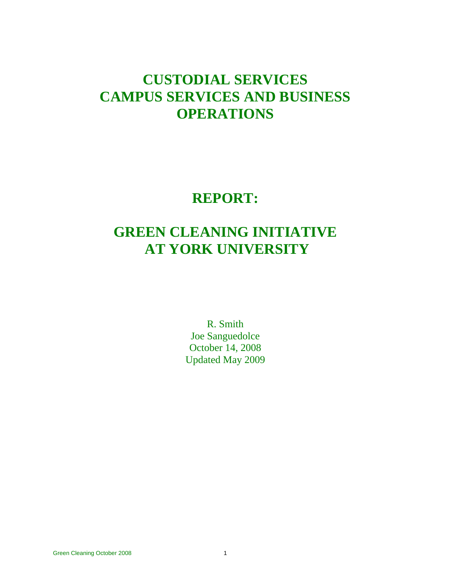# **CUSTODIAL SERVICES CAMPUS SERVICES AND BUSINESS OPERATIONS**

# **REPORT:**

# **GREEN CLEANING INITIATIVE AT YORK UNIVERSITY**

R. Smith Joe Sanguedolce October 14, 2008 Updated May 2009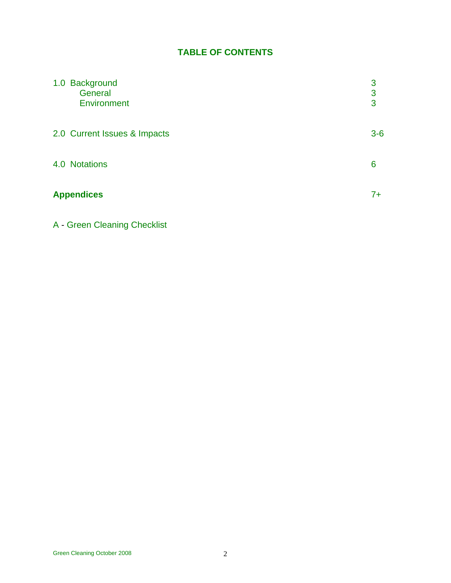# **TABLE OF CONTENTS**

| 1.0 Background<br>General<br>Environment | 3<br>3<br>3 |
|------------------------------------------|-------------|
| 2.0 Current Issues & Impacts             | $3-6$       |
| 4.0 Notations                            | 6           |
| <b>Appendices</b>                        |             |

# A - Green Cleaning Checklist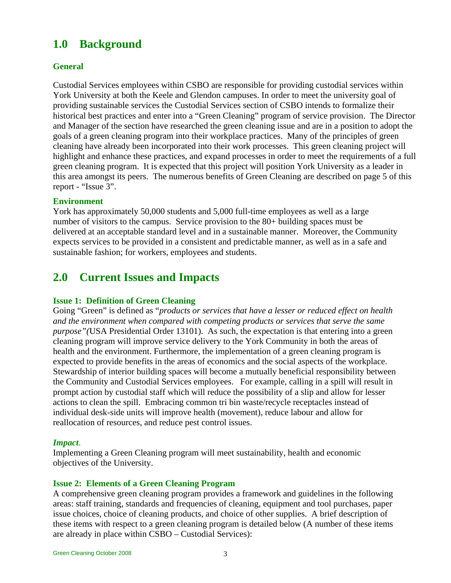# **1.0 Background**

# **General**

Custodial Services employees within CSBO are responsible for providing custodial services within York University at both the Keele and Glendon campuses. In order to meet the university goal of providing sustainable services the Custodial Services section of CSBO intends to formalize their historical best practices and enter into a "Green Cleaning" program of service provision. The Director and Manager of the section have researched the green cleaning issue and are in a position to adopt the goals of a green cleaning program into their workplace practices. Many of the principles of green cleaning have already been incorporated into their work processes. This green cleaning project will highlight and enhance these practices, and expand processes in order to meet the requirements of a full green cleaning program. It is expected that this project will position York University as a leader in this area amongst its peers. The numerous benefits of Green Cleaning are described on page 5 of this report - "Issue 3".

### **Environment**

York has approximately 50,000 students and 5,000 full-time employees as well as a large number of visitors to the campus. Service provision to the 80+ building spaces must be delivered at an acceptable standard level and in a sustainable manner. Moreover, the Community expects services to be provided in a consistent and predictable manner, as well as in a safe and sustainable fashion; for workers, employees and students.

# **2.0 Current Issues and Impacts**

### **Issue 1: Definition of Green Cleaning**

Going "Green" is defined as "*products or services that have a lesser or reduced effect on health and the environment when compared with competing products or services that serve the same purpose"(*USA Presidential Order 13101). As such, the expectation is that entering into a green cleaning program will improve service delivery to the York Community in both the areas of health and the environment. Furthermore, the implementation of a green cleaning program is expected to provide benefits in the areas of economics and the social aspects of the workplace. Stewardship of interior building spaces will become a mutually beneficial responsibility between the Community and Custodial Services employees. For example, calling in a spill will result in prompt action by custodial staff which will reduce the possibility of a slip and allow for lesser actions to clean the spill. Embracing common tri bin waste/recycle receptacles instead of individual desk-side units will improve health (movement), reduce labour and allow for reallocation of resources, and reduce pest control issues.

#### *Impact*.

Implementing a Green Cleaning program will meet sustainability, health and economic objectives of the University.

#### **Issue 2: Elements of a Green Cleaning Program**

A comprehensive green cleaning program provides a framework and guidelines in the following areas: staff training, standards and frequencies of cleaning, equipment and tool purchases, paper issue choices, choice of cleaning products, and choice of other supplies. A brief description of these items with respect to a green cleaning program is detailed below (A number of these items are already in place within CSBO – Custodial Services):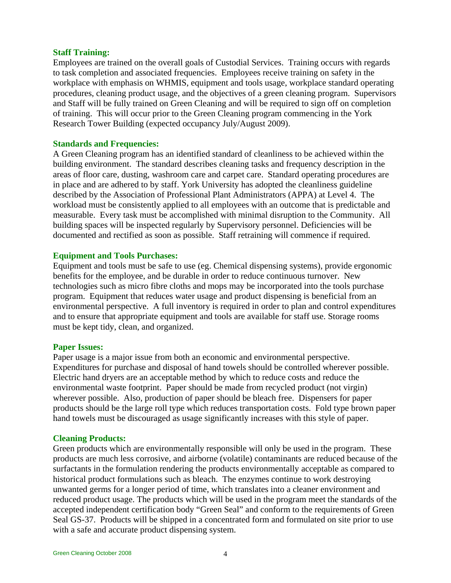#### **Staff Training:**

Employees are trained on the overall goals of Custodial Services. Training occurs with regards to task completion and associated frequencies. Employees receive training on safety in the workplace with emphasis on WHMIS, equipment and tools usage, workplace standard operating procedures, cleaning product usage, and the objectives of a green cleaning program. Supervisors and Staff will be fully trained on Green Cleaning and will be required to sign off on completion of training. This will occur prior to the Green Cleaning program commencing in the York Research Tower Building (expected occupancy July/August 2009).

#### **Standards and Frequencies:**

A Green Cleaning program has an identified standard of cleanliness to be achieved within the building environment. The standard describes cleaning tasks and frequency description in the areas of floor care, dusting, washroom care and carpet care. Standard operating procedures are in place and are adhered to by staff. York University has adopted the cleanliness guideline described by the Association of Professional Plant Administrators (APPA) at Level 4. The workload must be consistently applied to all employees with an outcome that is predictable and measurable. Every task must be accomplished with minimal disruption to the Community. All building spaces will be inspected regularly by Supervisory personnel. Deficiencies will be documented and rectified as soon as possible. Staff retraining will commence if required.

#### **Equipment and Tools Purchases:**

Equipment and tools must be safe to use (eg. Chemical dispensing systems), provide ergonomic benefits for the employee, and be durable in order to reduce continuous turnover. New technologies such as micro fibre cloths and mops may be incorporated into the tools purchase program. Equipment that reduces water usage and product dispensing is beneficial from an environmental perspective. A full inventory is required in order to plan and control expenditures and to ensure that appropriate equipment and tools are available for staff use. Storage rooms must be kept tidy, clean, and organized.

#### **Paper Issues:**

Paper usage is a major issue from both an economic and environmental perspective. Expenditures for purchase and disposal of hand towels should be controlled wherever possible. Electric hand dryers are an acceptable method by which to reduce costs and reduce the environmental waste footprint. Paper should be made from recycled product (not virgin) wherever possible. Also, production of paper should be bleach free. Dispensers for paper products should be the large roll type which reduces transportation costs. Fold type brown paper hand towels must be discouraged as usage significantly increases with this style of paper.

### **Cleaning Products:**

Green products which are environmentally responsible will only be used in the program. These products are much less corrosive, and airborne (volatile) contaminants are reduced because of the surfactants in the formulation rendering the products environmentally acceptable as compared to historical product formulations such as bleach. The enzymes continue to work destroying unwanted germs for a longer period of time, which translates into a cleaner environment and reduced product usage. The products which will be used in the program meet the standards of the accepted independent certification body "Green Seal" and conform to the requirements of Green Seal GS-37. Products will be shipped in a concentrated form and formulated on site prior to use with a safe and accurate product dispensing system.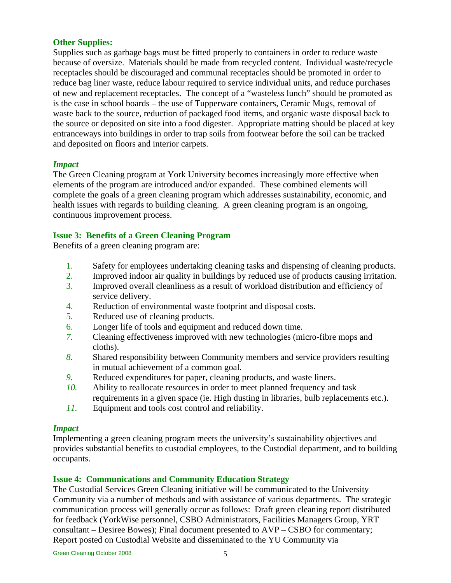# **Other Supplies:**

Supplies such as garbage bags must be fitted properly to containers in order to reduce waste because of oversize. Materials should be made from recycled content. Individual waste/recycle receptacles should be discouraged and communal receptacles should be promoted in order to reduce bag liner waste, reduce labour required to service individual units, and reduce purchases of new and replacement receptacles. The concept of a "wasteless lunch" should be promoted as is the case in school boards – the use of Tupperware containers, Ceramic Mugs, removal of waste back to the source, reduction of packaged food items, and organic waste disposal back to the source or deposited on site into a food digester. Appropriate matting should be placed at key entranceways into buildings in order to trap soils from footwear before the soil can be tracked and deposited on floors and interior carpets.

### *Impact*

The Green Cleaning program at York University becomes increasingly more effective when elements of the program are introduced and/or expanded. These combined elements will complete the goals of a green cleaning program which addresses sustainability, economic, and health issues with regards to building cleaning. A green cleaning program is an ongoing, continuous improvement process.

#### **Issue 3: Benefits of a Green Cleaning Program**

Benefits of a green cleaning program are:

- 1. Safety for employees undertaking cleaning tasks and dispensing of cleaning products.
- 2. Improved indoor air quality in buildings by reduced use of products causing irritation.
- 3. Improved overall cleanliness as a result of workload distribution and efficiency of service delivery.
- 4. Reduction of environmental waste footprint and disposal costs.
- 5. Reduced use of cleaning products.
- 6. Longer life of tools and equipment and reduced down time.
- *7.* Cleaning effectiveness improved with new technologies (micro-fibre mops and cloths).
- *8.* Shared responsibility between Community members and service providers resulting in mutual achievement of a common goal.
- *9.* Reduced expenditures for paper, cleaning products, and waste liners.
- *10.* Ability to reallocate resources in order to meet planned frequency and task requirements in a given space (ie. High dusting in libraries, bulb replacements etc.).
- *11.* Equipment and tools cost control and reliability.

#### *Impact*

Implementing a green cleaning program meets the university's sustainability objectives and provides substantial benefits to custodial employees, to the Custodial department, and to building occupants.

### **Issue 4: Communications and Community Education Strategy**

The Custodial Services Green Cleaning initiative will be communicated to the University Community via a number of methods and with assistance of various departments. The strategic communication process will generally occur as follows: Draft green cleaning report distributed for feedback (YorkWise personnel, CSBO Administrators, Facilities Managers Group, YRT consultant – Desiree Bowes); Final document presented to AVP – CSBO for commentary; Report posted on Custodial Website and disseminated to the YU Community via